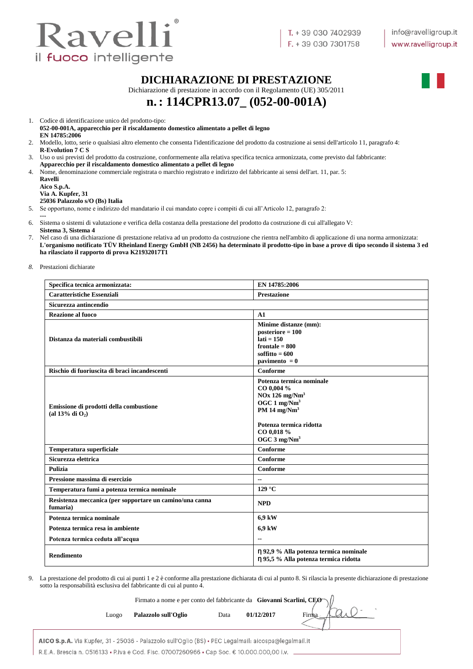

#### **DICHIARAZIONE DI PRESTAZIONE**

Dichiarazione di prestazione in accordo con il Regolamento (UE) 305/2011

# **n.: 114CPR13.07\_ (052-00-001A)**

1. Codice di identificazione unico del prodotto-tipo:

**052-00-001A, apparecchio per il riscaldamento domestico alimentato a pellet di legno EN 14785:2006**

- 2. Modello, lotto, serie o qualsiasi altro elemento che consenta l'identificazione del prodotto da costruzione ai sensi dell'articolo 11, paragrafo 4: **R-Evolution 7 C S**
- 3. Uso o usi previsti del prodotto da costruzione, conformemente alla relativa specifica tecnica armonizzata, come previsto dal fabbricante: **Apparecchio per il riscaldamento domestico alimentato a pellet di legno**
- 4. Nome, denominazione commerciale registrata o marchio registrato e indirizzo del fabbricante ai sensi dell'art. 11, par. 5:

**Ravelli Aico S.p.A. Via A. Kupfer, 31 25036 Palazzolo s/O (Bs) Italia**

5. Se opportuno, nome e indirizzo del mandatario il cui mandato copre i compiti di cui all'Articolo 12, paragrafo 2:

- **---** 6. Sistema o sistemi di valutazione e verifica della costanza della prestazione del prodotto da costruzione di cui all'allegato V: **Sistema 3, Sistema 4**
- 7. Nel caso di una dichiarazione di prestazione relativa ad un prodotto da costruzione che rientra nell'ambito di applicazione di una norma armonizzata: **L'organismo notificato TÜV Rheinland Energy GmbH (NB 2456) ha determinato il prodotto-tipo in base a prove di tipo secondo il sistema 3 ed ha rilasciato il rapporto di prova K21932017T1**

*8.* Prestazioni dichiarate

| Specifica tecnica armonizzata:                                       | EN 14785:2006                                                                                                                                                                                |
|----------------------------------------------------------------------|----------------------------------------------------------------------------------------------------------------------------------------------------------------------------------------------|
| <b>Caratteristiche Essenziali</b>                                    | <b>Prestazione</b>                                                                                                                                                                           |
| Sicurezza antincendio                                                |                                                                                                                                                                                              |
| Reazione al fuoco                                                    | A1                                                                                                                                                                                           |
| Distanza da materiali combustibili                                   | Minime distanze (mm):<br>$posterior = 100$<br>$lati = 150$<br>frontale $= 800$<br>soffitto = $600$<br>pavimento $= 0$                                                                        |
| Rischio di fuoriuscita di braci incandescenti                        | Conforme                                                                                                                                                                                     |
| Emissione di prodotti della combustione<br>(al 13% di $O_2$ )        | Potenza termica nominale<br>CO 0.004 %<br>$NOx$ 126 mg/ $Nm3$<br>OGC $1 \text{ mg}/\text{Nm}^3$<br>PM 14 $mg/Nm3$<br>Potenza termica ridotta<br>CO 0,018 %<br>OGC $3 \text{ mg}/\text{Nm}^3$ |
| Temperatura superficiale                                             | Conforme                                                                                                                                                                                     |
| Sicurezza elettrica                                                  | Conforme                                                                                                                                                                                     |
| Pulizia                                                              | Conforme                                                                                                                                                                                     |
| Pressione massima di esercizio                                       | $-$                                                                                                                                                                                          |
| Temperatura fumi a potenza termica nominale                          | $129^{\circ}$ C                                                                                                                                                                              |
| Resistenza meccanica (per sopportare un camino/una canna<br>fumaria) | <b>NPD</b>                                                                                                                                                                                   |
| Potenza termica nominale                                             | 6,9 kW                                                                                                                                                                                       |
| Potenza termica resa in ambiente                                     | 6,9 kW                                                                                                                                                                                       |
| Potenza termica ceduta all'acqua                                     | $\overline{a}$                                                                                                                                                                               |
| <b>Rendimento</b>                                                    | η 92,9 % Alla potenza termica nominale<br>η 95,5 % Alla potenza termica ridotta                                                                                                              |

9. La prestazione del prodotto di cui ai punti 1 e 2 è conforme alla prestazione dichiarata di cui al punto 8. Si rilascia la presente dichiarazione di prestazione sotto la responsabilità esclusiva del fabbricante di cui al punto 4.

|       | Firmato a nome e per conto del fabbricante da Giovanni Scarlini, CEO $\sqrt{ }$ |      |            |  |
|-------|---------------------------------------------------------------------------------|------|------------|--|
| Luogo | Palazzolo sull'Oglio                                                            | Data | 01/12/2017 |  |
|       |                                                                                 |      |            |  |

AICO S.p.A. Via Kupfer, 31 - 25036 - Palazzolo sull'Oglio (BS) · PEC Legalmail: aicospa@legalmail.it R.E.A. Brescia n. 0516133 • P.iva e Cod. Fisc. 07007260966 • Cap Soc. € 10.000.000,00 i.v.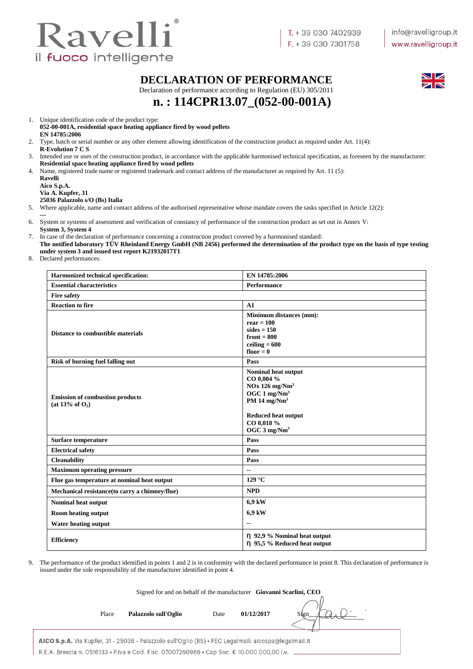

#### **DECLARATION OF PERFORMANCE**

Declaration of performance according to Regulation (EU) 305/2011



**n. : 114CPR13.07\_(052-00-001A)**

1. Unique identification code of the product type:

#### **052-00-001A, residential space heating appliance fired by wood pellets EN 14785:2006**

- 2. Type, batch or serial number or any other element allowing identification of the construction product as required under Art. 11(4): **R-Evolution 7 C S**
- 3. Intended use or uses of the construction product, in accordance with the applicable harmonised technical specification, as foreseen by the manufacturer:
- **Residential space heating appliance fired by wood pellets**
- 4. Name, registered trade name or registered trademark and contact address of the manufacturer as required by Art. 11 (5):

**Ravelli Aico S.p.A. Via A. Kupfer, 31 25036 Palazzolo s/O (Bs) Italia**

- 5. Where applicable, name and contact address of the authorised representative whose mandate covers the tasks specified in Article 12(2):
- **---** 6. System or systems of assessment and verification of constancy of performance of the construction product as set out in Annex V:
- **System 3, System 4**
- 7. In case of the declaration of performance concerning a construction product covered by a harmonised standard:
- **The notified laboratory TÜV Rheinland Energy GmbH (NB 2456) performed the determination of the product type on the basis of type testing under system 3 and issued test report K21932017T1**
- 8. Declared performances:

| Harmonized technical specification:                             | EN 14785:2006                                                                                                                                                                                  |
|-----------------------------------------------------------------|------------------------------------------------------------------------------------------------------------------------------------------------------------------------------------------------|
| <b>Essential characteristics</b>                                | <b>Performance</b>                                                                                                                                                                             |
| <b>Fire safety</b>                                              |                                                                                                                                                                                                |
| <b>Reaction to fire</b>                                         | A1                                                                                                                                                                                             |
| Distance to combustible materials                               | <b>Minimum distances (mm):</b><br>$rear = 100$<br>$sides = 150$<br>front $= 800$<br>ceiling $= 600$<br>floor $= 0$                                                                             |
| <b>Risk of burning fuel falling out</b>                         | Pass                                                                                                                                                                                           |
| <b>Emission of combustion products</b><br>(at $13\%$ of $O_2$ ) | Nominal heat output<br>CO 0,004 %<br>$NOx$ 126 mg/ $Nm3$<br>OGC $1 \text{ mg}/\text{Nm}^3$<br>PM 14 mg/Nm <sup>3</sup><br><b>Reduced heat output</b><br>CO 0,018 %<br>OGC 3 mg/Nm <sup>3</sup> |
| Surface temperature                                             | Pass                                                                                                                                                                                           |
| <b>Electrical safety</b>                                        | Pass                                                                                                                                                                                           |
| <b>Cleanability</b>                                             | Pass                                                                                                                                                                                           |
| <b>Maximum operating pressure</b>                               | $\overline{\phantom{a}}$                                                                                                                                                                       |
| Flue gas temperature at nominal heat output                     | $129^{\circ}$ C                                                                                                                                                                                |
| Mechanical resistance (to carry a chimney/flue)                 | <b>NPD</b>                                                                                                                                                                                     |
| Nominal heat output                                             | 6,9 kW                                                                                                                                                                                         |
| <b>Room heating output</b>                                      | 6,9 kW                                                                                                                                                                                         |
| <b>Water heating output</b>                                     | $\overline{\phantom{a}}$                                                                                                                                                                       |
| <b>Efficiency</b>                                               | η 92,9 % Nominal heat output<br>n 95,5 % Reduced heat output                                                                                                                                   |

9. The performance of the product identified in points 1 and 2 is in conformity with the declared performance in point 8. This declaration of performance is issued under the sole responsibility of the manufacturer identified in point 4.

|       | Signed for and on behalf of the manufacturer Giovanni Scarlini, CEO |       |            |      |
|-------|---------------------------------------------------------------------|-------|------------|------|
| Place | Palazzolo sull'Oglio                                                | Date  | 01/12/2017 | Sien |
|       | $\cdots$ $\cdots$ $\cdots$ $\cdots$ $\cdots$                        | _____ |            |      |

AICO S.p.A. Via Kupfer, 31 - 25036 - Palazzolo sull'Oglio (BS) · PEC Legalmail: aicospa@legalmail.it R.E.A. Brescia n. 0516133 • P.iva e Cod. Fisc. 07007260966 • Cap Soc. € 10.000.000,00 i.v.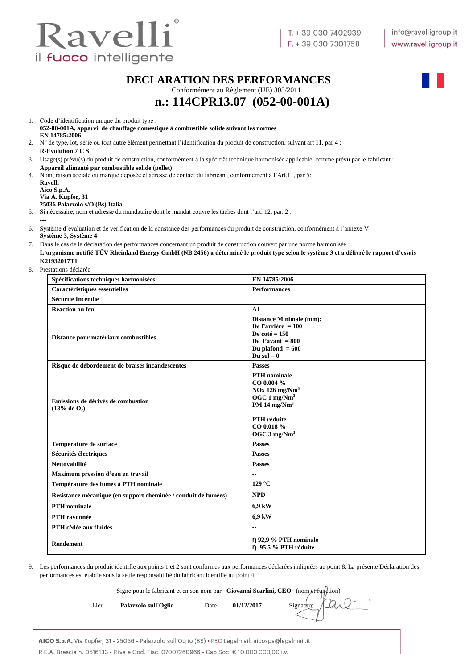

#### **DECLARATION DES PERFORMANCES**

Conformément au Règlement (UE) 305/2011



# **n.: 114CPR13.07\_(052-00-001A)**

| Code d'identification unique du produit type :                                        |
|---------------------------------------------------------------------------------------|
| 052-00-001A, appareil de chauffage domestique à combustible solide suivant les normes |
| EN 14785:2006                                                                         |

- 2. N° de type, lot, série ou tout autre élément permettant l'identification du produit de construction, suivant art 11, par 4 : **R-Evolution 7 C S**
- 3. Usage(s) prévu(s) du produit de construction, conformément à la spécifiât technique harmonisée applicable, comme prévu par le fabricant : **Appareil alimenté par combustible solide (pellet)**
- 4. Nom, raison sociale ou marque déposée et adresse de contact du fabricant, conformément à l'Art.11, par 5: **Ravelli**

**Aico S.p.A. Via A. Kupfer, 31**

**---**

#### **25036 Palazzolo s/O (Bs) Italia**

5. Si nécessaire, nom et adresse du mandataire dont le mandat couvre les taches dont l'art. 12, par. 2 :

- 6. Système d'évaluation et de vérification de la constance des performances du produit de construction, conformément à l'annexe V **Système 3, Système 4**
- 7. Dans le cas de la déclaration des performances concernant un produit de construction couvert par une norme harmonisée : **L'organisme notifié TÜV Rheinland Energy GmbH (NB 2456) a déterminé le produit type selon le système 3 et a délivré le rapport d'essais K21932017T1**
- 8. Prestations déclarée

| Spécifications techniques harmonisées:                         | EN 14785:2006                                                                                                                                                                           |
|----------------------------------------------------------------|-----------------------------------------------------------------------------------------------------------------------------------------------------------------------------------------|
| Caractéristiques essentielles                                  | <b>Performances</b>                                                                                                                                                                     |
| <b>Sécurité Incendie</b>                                       |                                                                                                                                                                                         |
| <b>Réaction au feu</b>                                         | A1                                                                                                                                                                                      |
| Distance pour matériaux combustibles                           | <b>Distance Minimale (mm):</b><br>De l'arrière $= 100$<br>De coté = $150$<br>De l'avant = $800$<br>Du plafond $= 600$<br>Du sol $= 0$                                                   |
| Risque de débordement de braises incandescentes                | <b>Passes</b>                                                                                                                                                                           |
| Emissions de dérivés de combustion<br>(13% de 0 <sub>2</sub> ) | <b>PTH</b> nominale<br>CO 0,004 %<br>$NOx$ 126 mg/ $Nm3$<br>$OGC1$ mg/Nm <sup>3</sup><br>PM 14 mg/Nm <sup>3</sup><br><b>PTH</b> réduite<br>CO 0,018 %<br>OGC $3 \text{ mg}/\text{Nm}^3$ |
| Température de surface                                         | <b>Passes</b>                                                                                                                                                                           |
| Sécurités électriques                                          | <b>Passes</b>                                                                                                                                                                           |
| Nettoyabilité                                                  | <b>Passes</b>                                                                                                                                                                           |
| Maximum pression d'eau en travail                              | $\overline{\phantom{a}}$                                                                                                                                                                |
| Température des fumes à PTH nominale                           | $129^{\circ}$ C                                                                                                                                                                         |
| Resistance mécanique (en support cheminée / conduit de fumées) | <b>NPD</b>                                                                                                                                                                              |
| <b>PTH</b> nominale                                            | 6.9 kW                                                                                                                                                                                  |
| PTH rayonnée                                                   | 6.9 kW                                                                                                                                                                                  |
| PTH cédée aux fluides                                          | $\overline{\phantom{a}}$                                                                                                                                                                |
| <b>Rendement</b>                                               | η 92,9 % PTH nominale<br>η 95,5 % PTH réduite                                                                                                                                           |

9. Les performances du produit identifie aux points 1 et 2 sont conformes aux performances déclarées indiquées au point 8. La présente Déclaration des performances est établie sous la seule responsabilité du fabricant identifie au point 4.

|      | Signe pour le fabricant et en son nom par Giovanni Scarlini, CEO (nom et function) |      |            |           |
|------|------------------------------------------------------------------------------------|------|------------|-----------|
| Lieu | Palazzolo sull'Oglio                                                               | Date | 01/12/2017 | Signature |
|      |                                                                                    |      |            |           |

AICO S.p.A. Via Kupfer, 31 - 25036 - Palazzolo sull'Oglio (BS) · PEC Legalmail: aicospa@legalmail.it R.E.A. Brescia n. 0516133 • P.iva e Cod. Fisc. 07007260966 • Cap Soc. € 10.000.000,00 i.v. .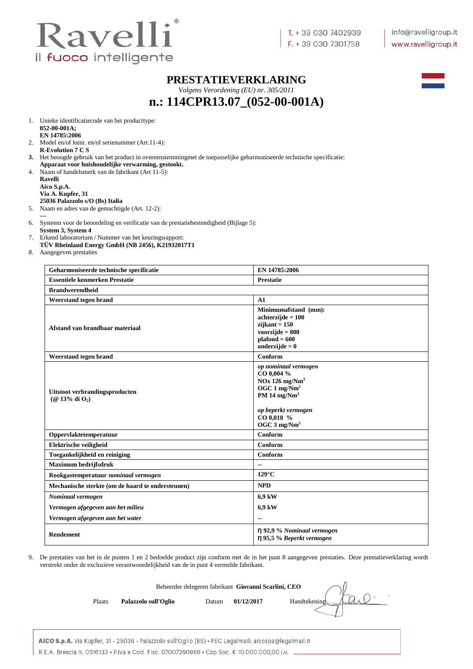

#### **PRESTATIEVERKLARING**

*Volgens Verordening (EU) nr. 305/2011*

## **n.: 114CPR13.07\_(052-00-001A)**



1. Unieke identificatiecode van het producttype: **052-00-001A; EN 14785:2006**

- 2. Model en/of lotnr. en/of serienummer (Art.11-4): **R-Evolution 7 C S**
- **3.** Het beoogde gebruik van het product in overeenstemmingmet de toepasselijke geharmoniseerde technische specificatie: **Apparaat voor huishoudelijke verwarming, gestookt.**
- 4. Naam of handelsmerk van de fabrikant (Art 11-5):

**Ravelli Aico S.p.A. Via A. Kupfer, 31 25036 Palazzolo s/O (Bs) Italia**

- 5. Naam en adres van de gemachtigde (Art. 12-2):
- **---** 6. Systeem voor de beoordeling en verificatie van de prestatiebestendigheid (Bijlage 5):
- **System 3, System 4**

7. Erkend laboratorium / Nummer van het keuringsrapport:

- **TÜV Rheinland Energy GmbH (NB 2456), K21932017T1**
- *8.* Aangegeven prestaties

| Geharmoniseerde technische specificatie               | EN 14785:2006                                                                                                                                                                     |
|-------------------------------------------------------|-----------------------------------------------------------------------------------------------------------------------------------------------------------------------------------|
| <b>Essentiele kenmerken Prestatie</b>                 | <b>Prestatie</b>                                                                                                                                                                  |
| <b>Brandwerendheid</b>                                |                                                                                                                                                                                   |
| Weerstand tegen brand                                 | A1                                                                                                                                                                                |
| Afstand van brandbaar materiaal                       | Minimumafstand (mm):<br>$achterzijde = 100$<br>$zijkant = 150$<br>voorzijde $= 800$<br>$plafond = 600$<br>onderzijde = $0$                                                        |
| Weerstand tegen brand                                 | Conform                                                                                                                                                                           |
| Uitstoot verbrandingsproducten<br>$(Q$ 13% di $O_2$ ) | op nominaal vermogen<br>CO 0,004 %<br>$NOx$ 126 mg/ $Nm3$<br>OGC $1 \text{ mg}/\text{Nm}^3$<br>PM 14 mg/ $Nm3$<br>op beperkt vermogen<br>CO 0,018 %<br>OGC $3$ mg/Nm <sup>3</sup> |
| Oppervlaktetemperatuur                                | Conform                                                                                                                                                                           |
| Elektrische veiligheid                                | Conform                                                                                                                                                                           |
| Toegankelijkheid en reiniging                         | Conform                                                                                                                                                                           |
| <b>Maximum bedrijfsdruk</b>                           | $-$                                                                                                                                                                               |
| Rookgastemperatuur nominaal vermogen                  | $129^{\circ}$ C                                                                                                                                                                   |
| Mechanische sterkte (om de haard te ondersteunen)     | <b>NPD</b>                                                                                                                                                                        |
| Nominaal vermogen                                     | 6,9 kW                                                                                                                                                                            |
| Vermogen afgegeven aan het milieu                     | 6,9 kW                                                                                                                                                                            |
| Vermogen afgegeven aan het water                      | --                                                                                                                                                                                |
| <b>Rendement</b>                                      | η 92,9 % Nominaal vermogen<br>η 95,5 % Beperkt vermogen                                                                                                                           |

9. De prestaties van het in de punten 1 en 2 bedoelde product zijn conform met de in het punt 8 aangegeven prestaties. Deze prestatieverklaring wordt verstrekt onder de exclusieve verantwoordelijkheid van de in punt 4 vermelde fabrikant.

|        |                      |       | Beheerder delegeren fabrikant Giovanni Scarlini, CEO |              |
|--------|----------------------|-------|------------------------------------------------------|--------------|
| Plaats | Palazzolo sull'Oglio | Datum | 01/12/2017                                           | Handtekening |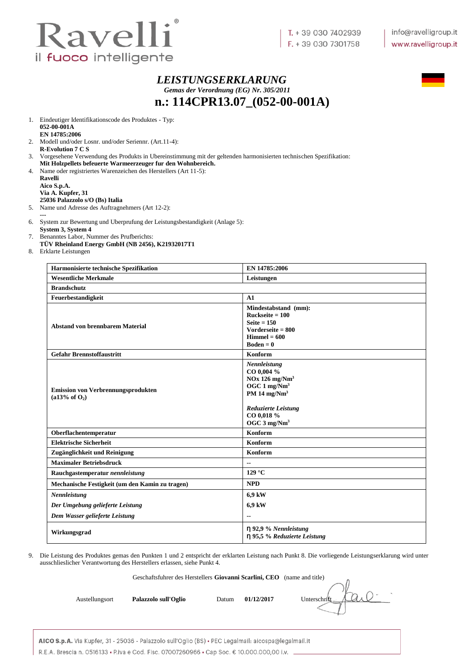

#### *LEISTUNGSERKLARUNG Gemas der Verordnung (EG) Nr. 305/2011* **n.: 114CPR13.07\_(052-00-001A)**



1. Eindeutiger Identifikationscode des Produktes - Typ: **052-00-001A EN 14785:2006**

- 2. Modell und/oder Losnr. und/oder Seriennr. (Art.11-4): **R-Evolution 7 C S**
- 3. Vorgesehene Verwendung des Produkts in Ubereinstimmung mit der geltenden harmonisierten technischen Spezifikation: **Mit Holzpellets befeuerte Warmeerzeuger fur den Wohnbereich.**
- 4. Name oder registriertes Warenzeichen des Herstellers (Art 11-5):

**Ravelli Aico S.p.A. Via A. Kupfer, 31 25036 Palazzolo s/O (Bs) Italia**

- 5. Name und Adresse des Auftragnehmers (Art 12-2):
- **---** 6. System zur Bewertung und Uberprufung der Leistungsbestandigkeit (Anlage 5):
- **System 3, System 4** 7. Benanntes Labor, Nummer des Prufberichts:
- **TÜV Rheinland Energy GmbH (NB 2456), K21932017T1**
- 8. Erklarte Leistungen

| Harmonisierte technische Spezifikation                                 | EN 14785:2006                                                                                                                                                                       |
|------------------------------------------------------------------------|-------------------------------------------------------------------------------------------------------------------------------------------------------------------------------------|
| <b>Wesentliche Merkmale</b>                                            | Leistungen                                                                                                                                                                          |
| <b>Brandschutz</b>                                                     |                                                                                                                                                                                     |
| Feuerbestandigkeit                                                     | A1                                                                                                                                                                                  |
| <b>Abstand von brennbarem Material</b>                                 | Mindestabstand (mm):<br>$Rucksette = 100$<br>Seite $= 150$<br>Vorderseite $= 800$<br>$Himmel = 600$<br>Boden $= 0$                                                                  |
| <b>Gefahr Brennstoffaustritt</b>                                       | Konform                                                                                                                                                                             |
| <b>Emission von Verbrennungsprodukten</b><br>(a13% of O <sub>2</sub> ) | Nennleistung<br>CO 0,004 %<br>$NOx$ 126 mg/ $Nm3$<br>OGC $1 \text{ mg}/\text{Nm}^3$<br>PM 14 $mg/Nm3$<br><b>Reduzierte Leistung</b><br>CO 0,018 %<br>OGC $3 \text{ mg}/\text{Nm}^3$ |
| Oberflachentemperatur                                                  | <b>Konform</b>                                                                                                                                                                      |
| <b>Elektrische Sicherheit</b>                                          | Konform                                                                                                                                                                             |
| Zugänglichkeit und Reinigung                                           | Konform                                                                                                                                                                             |
| <b>Maximaler Betriebsdruck</b>                                         | --                                                                                                                                                                                  |
| Rauchgastemperatur nennleistung                                        | $129^{\circ}$ C                                                                                                                                                                     |
| Mechanische Festigkeit (um den Kamin zu tragen)                        | <b>NPD</b>                                                                                                                                                                          |
| Nennleistung                                                           | 6,9 kW                                                                                                                                                                              |
| Der Umgebung gelieferte Leistung                                       | 6.9 kW                                                                                                                                                                              |
| Dem Wasser gelieferte Leistung                                         |                                                                                                                                                                                     |
| Wirkungsgrad                                                           | $\eta$ 92,9 % Nennleistung<br>η 95,5 % Reduzierte Leistung                                                                                                                          |

9. Die Leistung des Produktes gemas den Punkten 1 und 2 entspricht der erklarten Leistung nach Punkt 8. Die vorliegende Leistungserklarung wird unter ausschlieslicher Verantwortung des Herstellers erlassen, siehe Punkt 4.

Geschaftsfuhrer des Herstellers **Giovanni Scarlini, CEO** (name and title)

Austellungsort **Palazzolo sull'Oglio** Datum 01/12/2017 Unterschrift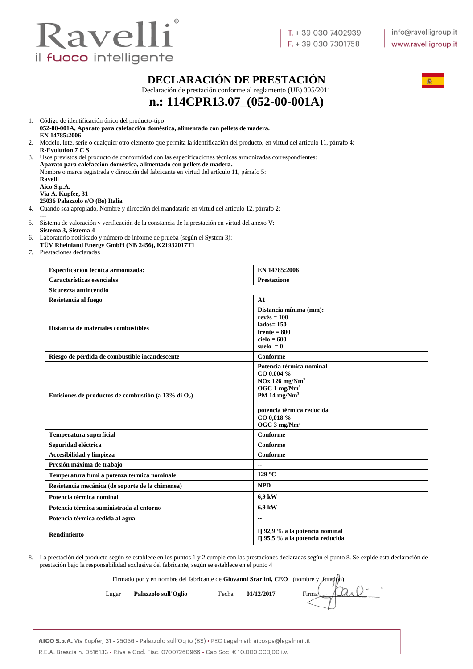

1. Código de identificación único del producto-tipo

## **DECLARACIÓN DE PRESTACIÓN**

Declaración de prestación conforme al reglamento (UE) 305/2011



# **n.: 114CPR13.07\_(052-00-001A)**

**052-00-001A, Aparato para calefacción doméstica, alimentado con pellets de madera. EN 14785:2006** 2. Modelo, lote, serie o cualquier otro elemento que permita la identificación del producto, en virtud del artículo 11, párrafo 4: **R-Evolution 7 C S** 3. Usos previstos del producto de conformidad con las especificaciones técnicas armonizadas correspondientes: **Aparato para calefacción doméstica, alimentado con pellets de madera.** Nombre o marca registrada y dirección del fabricante en virtud del artículo 11, párrafo 5: **Ravelli Aico S.p.A. Via A. Kupfer, 31 25036 Palazzolo s/O (Bs) Italia**

- 4. Cuando sea apropiado, Nombre y dirección del mandatario en virtud del artículo 12, párrafo 2: **---**
- 5. Sistema de valoración y verificación de la constancia de la prestación en virtud del anexo V: **Sistema 3, Sistema 4**
- 6. Laboratorio notificado y número de informe de prueba (según el System 3):
- **TÜV Rheinland Energy GmbH (NB 2456), K21932017T1**
- *7.* Prestaciones declaradas

| Especificación técnica armonizada:                     | EN 14785:2006                                                                                                                                                                                  |
|--------------------------------------------------------|------------------------------------------------------------------------------------------------------------------------------------------------------------------------------------------------|
| Características esenciales                             | <b>Prestazione</b>                                                                                                                                                                             |
| Sicurezza antincendio                                  |                                                                                                                                                                                                |
| Resistencia al fuego                                   | A1                                                                                                                                                                                             |
| Distancia de materiales combustibles                   | Distancia mínima (mm):<br>$rev\acute{e}s = 100$<br>$lados = 150$<br>$f$ rente = 800<br>$cielo = 600$<br>suelo $= 0$                                                                            |
| Riesgo de pérdida de combustible incandescente         | Conforme                                                                                                                                                                                       |
| Emisiones de productos de combustión (a 13% di $O_2$ ) | Potencia térmica nominal<br>CO 0,004 %<br>$NOx$ 126 mg/ $Nm3$<br>OGC $1 \text{ mg}/\text{Nm}^3$<br>PM 14 $mg/Nm3$<br>potencia térmica reducida<br>CO 0,018 %<br>OGC $3 \text{ mg}/\text{Nm}^3$ |
| <b>Temperatura superficial</b>                         | Conforme                                                                                                                                                                                       |
| Seguridad eléctrica                                    | Conforme                                                                                                                                                                                       |
| Accesibilidad y limpieza                               | Conforme                                                                                                                                                                                       |
| Presión máxima de trabajo                              | --                                                                                                                                                                                             |
| Temperatura fumi a potenza termica nominale            | 129 °C                                                                                                                                                                                         |
| Resistencia mecánica (de soporte de la chimenea)       | <b>NPD</b>                                                                                                                                                                                     |
| Potencia térmica nominal                               | 6.9 kW                                                                                                                                                                                         |
| Potencia térmica suministrada al entorno               | 6,9 kW                                                                                                                                                                                         |
| Potencia térmica cedida al agua                        | $-$                                                                                                                                                                                            |
| <b>Rendimiento</b>                                     | $\Pi$ 92,9 % a la potencia nominal<br>Il 95,5 % a la potencia reducida                                                                                                                         |

8. La prestación del producto según se establece en los puntos 1 y 2 cumple con las prestaciones declaradas según el punto 8. Se expide esta declaración de prestación bajo la responsabilidad exclusiva del fabricante, según se establece en el punto 4

Firmado por y en nombre del fabricante de **Giovanni Scarlini, CEO** (nombre y función)

Lugar **Palazzolo sull'Oglio** Fecha 01/12/2017 Firma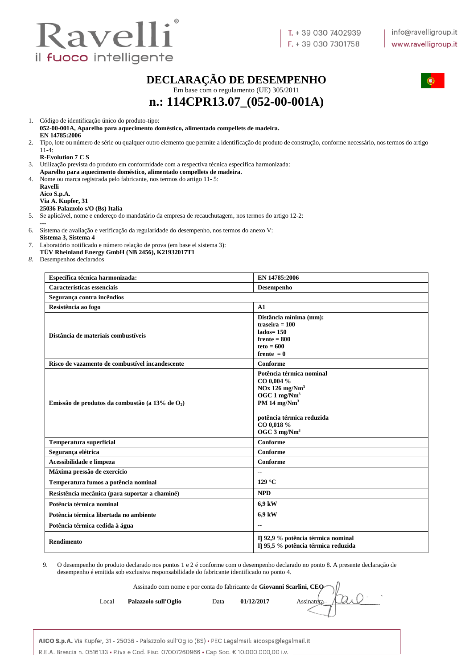

### **DECLARAÇÃO DE DESEMPENHO**



Em base com o regulamento (UE) 305/2011

**n.: 114CPR13.07\_(052-00-001A)**

1. Código de identificação único do produto-tipo:

**052-00-001A, Aparelho para aquecimento doméstico, alimentado compellets de madeira. EN 14785:2006**

2. Tipo, lote ou número de série ou qualquer outro elemento que permite a identificação do produto de construção, conforme necessário, nos termos do artigo  $11-4:$ 

#### **R-Evolution 7 C S**

3. Utilização prevista do produto em conformidade com a respectiva técnica especifica harmonizada: **Aparelho para aquecimento doméstico, alimentado compellets de madeira.**

- 4. Nome ou marca registrada pelo fabricante, nos termos do artigo 11- 5:
	- **Ravelli Aico S.p.A. Via A. Kupfer, 31 25036 Palazzolo s/O (Bs) Italia**

5. Se aplicável, nome e endereço do mandatário da empresa de recauchutagem, nos termos do artigo 12-2:

**---**

6. Sistema de avaliação e verificação da regularidade do desempenho, nos termos do anexo V: **Sistema 3, Sistema 4** 

7. Laboratório notificado e número relação de prova (em base el sistema 3):

**TÜV Rheinland Energy GmbH (NB 2456), K21932017T1**

*8.* Desempenhos declarados

| Específica técnica harmonizada:                    | EN 14785:2006                                                                                                                                                                            |
|----------------------------------------------------|------------------------------------------------------------------------------------------------------------------------------------------------------------------------------------------|
| Características essenciais                         | Desempenho                                                                                                                                                                               |
| Segurança contra incêndios                         |                                                                                                                                                                                          |
| Resistência ao fogo                                | A1                                                                                                                                                                                       |
| Distância de materiais combustíveis                | Distância mínima (mm):<br>traseira $= 100$<br>$lados = 150$<br>$f$ rente = $800$<br>$teto = 600$<br>frente $= 0$                                                                         |
| Risco de vazamento de combustível incandescente    | Conforme                                                                                                                                                                                 |
| Emissão de produtos da combustão (a 13% de $O_2$ ) | Potência térmica nominal<br>CO 0,004 %<br>$NOx$ 126 mg/ $Nm3$<br>OGC 1 mg/Nm <sup>3</sup><br>PM 14 $mg/Nm3$<br>potência térmica reduzida<br>CO 0,018 %<br>OGC $3 \text{ mg}/\text{Nm}^3$ |
| <b>Temperatura superficial</b>                     | Conforme                                                                                                                                                                                 |
| Segurança elétrica                                 | Conforme                                                                                                                                                                                 |
| Acessibilidade e limpeza                           | Conforme                                                                                                                                                                                 |
| Máxima pressão de exercício                        |                                                                                                                                                                                          |
| Temperatura fumos a potência nominal               | 129 °C                                                                                                                                                                                   |
| Resistência mecânica (para suportar a chaminé)     | <b>NPD</b>                                                                                                                                                                               |
| Potência térmica nominal                           | 6,9 kW                                                                                                                                                                                   |
| Potência térmica libertada no ambiente             | 6,9 kW                                                                                                                                                                                   |
| Potência térmica cedida à água                     |                                                                                                                                                                                          |
| <b>Rendimento</b>                                  | η 92,9 % potência térmica nominal<br>Il 95,5 % potência térmica reduzida                                                                                                                 |

9. O desempenho do produto declarado nos pontos 1 e 2 é conforme com o desempenho declarado no ponto 8. A presente declaração de desempenho é emitida sob exclusiva responsabilidade do fabricante identificado no ponto 4.

Assinado com nome e por conta do fabricante de **Giovanni Scarlini, CEO**

Local **Palazzolo sull'Oglio** Data 01/12/2017 Assinatura

AICO S.p.A. Via Kupfer, 31 - 25036 - Palazzolo sull'Oglio (BS) · PEC Legalmail: aicospa@legalmail.it R.E.A. Brescia n. 0516133 • P.iva e Cod. Fisc. 07007260966 • Cap Soc. € 10.000.000.00 i.v.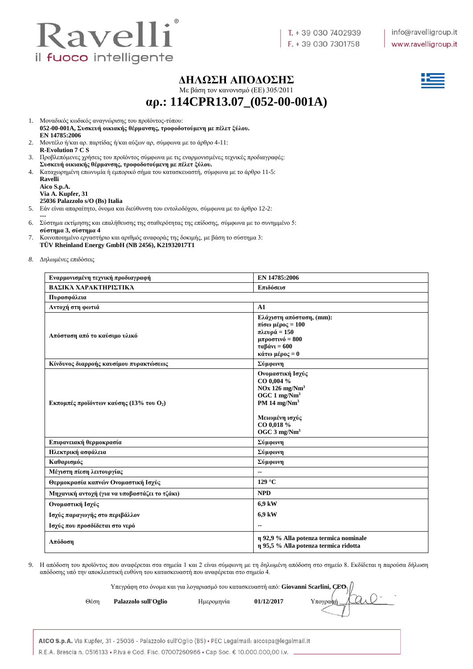

#### **ΔΗΛΩΣΗ ΑΠΟΔΟΣΗΣ**

Με βάση τον κανονισμό (ΕE) 305/2011

**αρ.: 114CPR13.07\_(052-00-001A)**

- 1. Μοναδικός κωδικός αναγνώρισης του προϊόντος-τύπου:
- **052-00-001A, Συσκευή οικιακής θέρμανσης, τροφοδοτούμενη με πέλετ ξύλου. EN 14785:2006**
- 2. Μοντέλο ή/και αρ. παρτίδας ή/και αύξων αρ, σύμφωνα με το άρθρο 4-11: **R-Evolution 7 C S**
- 3. Προβλεπόμενες χρήσεις του προϊόντος σύμφωνα με τις εναρμονισμένες τεχνικές προδιαγραφές: **Συσκευή οικιακής θέρμανσης, τροφοδοτούμενη με πέλετ ξύλου.**
- 4. Καταχωρημένη επωνυμία ή εμπορικό σήμα του κατασκευαστή, σύμφωνα με το άρθρο 11-5:

| Ravelli                         |
|---------------------------------|
| Aico S.p.A.                     |
| Via A. Kupfer, 31               |
| 25036 Palazzolo s/O (Bs) Italia |

- 5. Εάν είναι απαραίτητο, όνομα και διεύθυνση του εντολοδόχου, σύμφωνα με το άρθρο 12-2:
- **---** 6. Σύστημα εκτίμησης και επαλήθευσης της σταθερότητας της επίδοσης, σύμφωνα με το συνημμένο 5: **σύστημα 3, σύστημα 4**
- 7. Κοινοποιημένο εργαστήριο και αριθμός αναφοράς της δοκιμής, με βάση το σύστημα 3: **TÜV Rheinland Energy GmbH (NB 2456), K21932017T1**
- *8.* Δηλωμένες επιδόσεις

| Εναρμονισμένη τεχνική προδιαγραφή                           | EN 14785:2006                                                                                                                                                               |  |  |  |  |
|-------------------------------------------------------------|-----------------------------------------------------------------------------------------------------------------------------------------------------------------------------|--|--|--|--|
| ΒΑΣΙΚΆ ΧΑΡΑΚΤΗΡΙΣΤΙΚΆ                                       | Επιδόσεισ                                                                                                                                                                   |  |  |  |  |
| Πυρασφάλεια                                                 |                                                                                                                                                                             |  |  |  |  |
| Αντοχή στη φωτιά                                            | A1                                                                                                                                                                          |  |  |  |  |
| Απόσταση από το καύσιμο υλικό                               | Ελάχιστη απόσταση, (mm):<br>πίσω μέρος = $100$<br>πλευρά = 150<br>$\mu\pi\rho$ οστινό = 800<br>$\tau\alpha\beta\acute{\alpha}vv = 600$<br>κάτω μέρος = 0                    |  |  |  |  |
| Κίνδυνος διαρροής καυσίμου πυρακτώσεως                      | Σύμφωνη                                                                                                                                                                     |  |  |  |  |
| <b>Εκπομπές προϊόντων καύσης (13% του <math>O_2</math>)</b> | Ονομαστική Ισχύς<br>CO 0,004 %<br>$NOx$ 126 mg/ $Nm3$<br>OGC $1 \text{ mg}/\text{Nm}^3$<br>PM 14 $mg/Nm3$<br>Μειωμένη ισχύς<br>CO 0,018 %<br>OGC $3 \text{ mg}/\text{Nm}^3$ |  |  |  |  |
| Επιφανειακή θερμοκρασία                                     | Σύμφωνη                                                                                                                                                                     |  |  |  |  |
| Ηλεκτρική ασφάλεια                                          | Σύμφωνη                                                                                                                                                                     |  |  |  |  |
| Καθαρισμός                                                  | Σύμφωνη                                                                                                                                                                     |  |  |  |  |
| Μέγιστη πίεση λειτουργίας                                   |                                                                                                                                                                             |  |  |  |  |
| Θερμοκρασία καπνών Ονομαστική Ισχύς                         | $129^{\circ}$ C                                                                                                                                                             |  |  |  |  |
| Μηχανική αντοχή (για να υποβαστάζει το τζάκι)               | <b>NPD</b>                                                                                                                                                                  |  |  |  |  |
| Ονομαστική Ισχύς                                            | 6,9 kW                                                                                                                                                                      |  |  |  |  |
| Ισχύς παραγωγής στο περιβάλλον                              | 6,9 kW                                                                                                                                                                      |  |  |  |  |
| Ισχύς που προσδίδεται στο νερό                              |                                                                                                                                                                             |  |  |  |  |
| Απόδοση                                                     | η 92,9 % Alla potenza termica nominale<br>η 95,5 % Alla potenza termica ridotta                                                                                             |  |  |  |  |

9. Η απόδοση του προϊόντος που αναφέρεται στα σημεία 1 και 2 είναι σύμφωνη με τη δηλωμένη απόδοση στο σημείο 8. Εκδίδεται η παρούσα δήλωση απόδοσης υπό την αποκλειστική ευθύνη του κατασκευαστή που αναφέρεται στο σημείο 4.

Υπεγράφη στο όνομα και για λογαριασμό του κατασκευαστή από: **Giovanni Scarlini, CEO**

Θέση **Palazzolo sull'Oglio** Ημερομηνία **01/12/2017** Υπογραφή

AICO S.p.A. Via Kupfer, 31 - 25036 - Palazzolo sull'Oglio (BS) · PEC Legalmail: aicospa@legalmail.it R.E.A. Brescia n. 0516133 • P.iva e Cod. Fisc. 07007260966 • Cap Soc. € 10.000.000,00 i.v.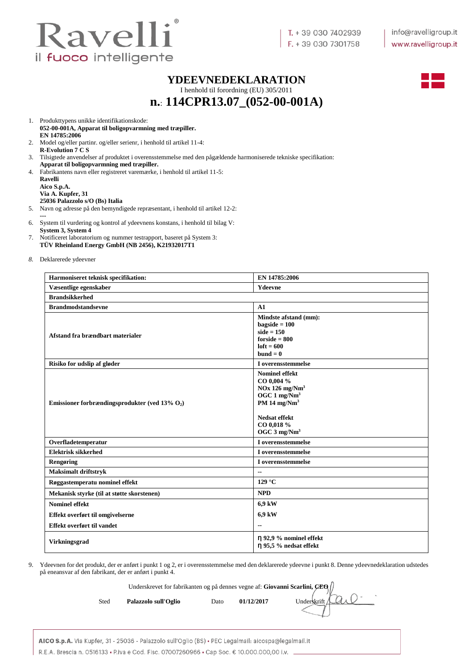

#### **YDEEVNEDEKLARATION**

I henhold til forordning (EU) 305/2011 **n.**: **114CPR13.07\_(052-00-001A)**



1. Produkttypens unikke identifikationskode:

- **052-00-001A, Apparat til boligopvarmning med træpiller. EN 14785:2006**
- 2. Model og/eller partinr. og/eller serienr, i henhold til artikel 11-4: **R-Evolution 7 C S**
- 3. Tilsigtede anvendelser af produktet i overensstemmelse med den pågældende harmoniserede tekniske specifikation:
- **Apparat til boligopvarmning med træpiller.** 4. Fabrikantens navn eller registreret varemærke, i henhold til artikel 11-5:

| Ravelli                         |
|---------------------------------|
| Aico S.p.A.                     |
| Via A. Kupfer, 31               |
| 25036 Palazzolo s/O (Bs) Italia |

- 5. Navn og adresse på den bemyndigede repræsentant, i henhold til artikel 12-2: **---**
- 6. System til vurdering og kontrol af ydeevnens konstans, i henhold til bilag V: **System 3, System 4**
- 7. Notificeret laboratorium og nummer testrapport, baseret på System 3: **TÜV Rheinland Energy GmbH (NB 2456), K21932017T1**
- *8.* Deklarerede ydeevner

| Harmoniseret teknisk specifikation:               | EN 14785:2006                                                                                                                                                                   |  |  |  |
|---------------------------------------------------|---------------------------------------------------------------------------------------------------------------------------------------------------------------------------------|--|--|--|
| Væsentlige egenskaber                             | Ydeevne                                                                                                                                                                         |  |  |  |
| <b>Brandsikkerhed</b>                             |                                                                                                                                                                                 |  |  |  |
| <b>Brandmodstandsevne</b>                         | A1                                                                                                                                                                              |  |  |  |
| Afstand fra brændbart materialer                  | Mindste afstand (mm):<br>$bagside = 100$<br>$side = 150$<br>$for side = 800$<br>$left = 600$<br>$bund = 0$                                                                      |  |  |  |
| Risiko for udslip af gløder                       | I overensstemmelse                                                                                                                                                              |  |  |  |
| Emissioner forbrændingsprodukter (ved 13% $O_2$ ) | <b>Nominel effekt</b><br>CO 0,004 %<br>$NOx$ 126 mg/ $Nm3$<br>OGC $1 \text{ mg}/\text{Nm}^3$<br>PM 14 $mg/Nm3$<br>Nedsat effekt<br>CO 0,018 %<br>OGC $3 \text{ mg}/\text{Nm}^3$ |  |  |  |
| Overfladetemperatur                               | I overensstemmelse                                                                                                                                                              |  |  |  |
| Elektrisk sikkerhed                               | I overensstemmelse                                                                                                                                                              |  |  |  |
| Rengøring                                         | I overensstemmelse                                                                                                                                                              |  |  |  |
| <b>Maksimalt driftstryk</b>                       | $\overline{\phantom{a}}$                                                                                                                                                        |  |  |  |
| Røggastemperatu nominel effekt                    | $129^{\circ}$ C                                                                                                                                                                 |  |  |  |
| Mekanisk styrke (til at støtte skorstenen)        | <b>NPD</b>                                                                                                                                                                      |  |  |  |
| <b>Nominel effekt</b>                             | 6,9 kW                                                                                                                                                                          |  |  |  |
| Effekt overført til omgivelserne                  | 6,9 kW                                                                                                                                                                          |  |  |  |
| Effekt overført til vandet                        | --                                                                                                                                                                              |  |  |  |
| <b>Virkningsgrad</b>                              | η 92,9 % nominel effekt<br>n 95,5 % nedsat effekt                                                                                                                               |  |  |  |

9. Ydeevnen for det produkt, der er anført i punkt 1 og 2, er i overensstemmelse med den deklarerede ydeevne i punkt 8. Denne ydeevnedeklaration udstedes på eneansvar af den fabrikant, der er anført i punkt 4.

Underskrevet for fabrikanten og på dennes vegne af: **Giovanni Scarlini, CEO**

Sted **Palazzolo sull'Oglio** Dato 01/12/2017 Underskrift

AICO S.p.A. Via Kupfer, 31 - 25036 - Palazzolo sull'Oglio (BS) · PEC Legalmail: aicospa@legalmail.it R.E.A. Brescia n. 0516133 • P.iva e Cod. Fisc. 07007260966 • Cap Soc. € 10.000.000,00 i.v.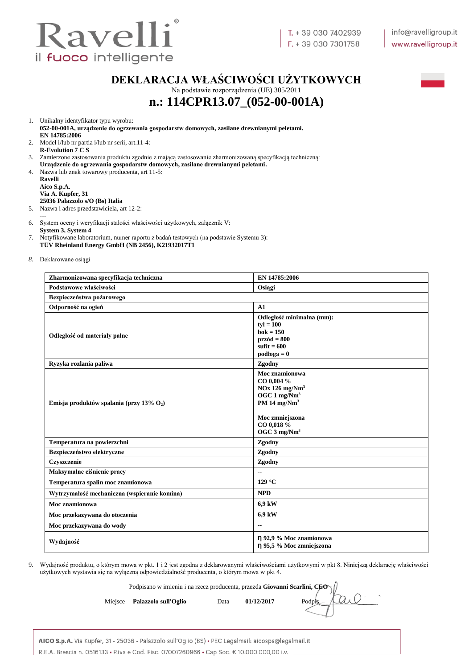

## **DEKLARACJA WŁAŚCIWOŚCI UŻYTKOWYCH**

Na podstawie rozporządzenia (UE) 305/2011 **n.: 114CPR13.07\_(052-00-001A)**



1. Unikalny identyfikator typu wyrobu:

**052-00-001A, urządzenie do ogrzewania gospodarstw domowych, zasilane drewnianymi peletami. EN 14785:2006**

- 2. Model i/lub nr partia i/lub nr serii, art.11-4: **R-Evolution 7 C S**
- 3. Zamierzone zastosowania produktu zgodnie z mającą zastosowanie zharmonizowaną specyfikacją techniczną:
- **Urządzenie do ogrzewania gospodarstw domowych, zasilane drewnianymi peletami.** 4. Nazwa lub znak towarowy producenta, art 11-5:

**Ravelli Aico S.p.A. Via A. Kupfer, 31 25036 Palazzolo s/O (Bs) Italia**

- 5. Nazwa i adres przedstawiciela, art 12-2:
- **---**
- 6. System oceny i weryfikacji stałości właściwości użytkowych, załącznik V:
- **System 3, System 4**
- 7. Notyfikowane laboratorium, numer raportu z badań testowych (na podstawie Systemu 3): **TÜV Rheinland Energy GmbH (NB 2456), K21932017T1**
- *8.* Deklarowane osiągi

| Zharmonizowana specyfikacja techniczna       | EN 14785:2006                                                                                                                                                        |  |  |  |  |  |
|----------------------------------------------|----------------------------------------------------------------------------------------------------------------------------------------------------------------------|--|--|--|--|--|
| Podstawowe właściwości                       | Osiągi                                                                                                                                                               |  |  |  |  |  |
| Bezpieczeństwa pożarowego                    |                                                                                                                                                                      |  |  |  |  |  |
| Odporność na ogień                           | A1                                                                                                                                                                   |  |  |  |  |  |
| Odległość od materiały palne                 | Odległość minimalna (mm):<br>$ty = 100$<br>$bok = 150$<br>$przód = 800$<br>$suffit = 600$<br>$podloga = 0$                                                           |  |  |  |  |  |
| Ryzyka rozlania paliwa                       | Zgodny                                                                                                                                                               |  |  |  |  |  |
| Emisja produktów spalania (przy 13% $O_2$ )  | Moc znamionowa<br>CO 0,004 %<br>$NOx$ 126 mg/ $Nm3$<br>OGC $1 \text{ mg}/\text{Nm}^3$<br>PM 14 $mg/Nm3$<br>Moc zmniejszona<br>CO 0,018 %<br>OGC 3 mg/Nm <sup>3</sup> |  |  |  |  |  |
| Temperatura na powierzchni                   | Zgodny                                                                                                                                                               |  |  |  |  |  |
| Bezpieczeństwo elektryczne                   | Zgodny                                                                                                                                                               |  |  |  |  |  |
| Czyszczenie                                  | Zgodny                                                                                                                                                               |  |  |  |  |  |
| Maksymalne ciśnienie pracy                   |                                                                                                                                                                      |  |  |  |  |  |
| Temperatura spalin moc znamionowa            | 129 °C                                                                                                                                                               |  |  |  |  |  |
| Wytrzymałość mechaniczna (wspieranie komina) | <b>NPD</b>                                                                                                                                                           |  |  |  |  |  |
| Moc znamionowa                               | 6,9 kW                                                                                                                                                               |  |  |  |  |  |
| Moc przekazywana do otoczenia                | 6,9 kW                                                                                                                                                               |  |  |  |  |  |
| Moc przekazywana do wody                     |                                                                                                                                                                      |  |  |  |  |  |
| Wydajność                                    | η 92,9 % Moc znamionowa<br>η 95,5 % Moc zmniejszona                                                                                                                  |  |  |  |  |  |

9. Wydajność produktu, o którym mowa w pkt. 1 i 2 jest zgodna z deklarowanymi właściwościami użytkowymi w pkt 8. Niniejszą deklarację właściwości użytkowych wystawia się na wyłączną odpowiedzialność producenta, o którym mowa w pkt 4.

Podpisano w imieniu i na rzecz producenta, przezda **Giovanni Scarlini, CEO**

| Podpts Allle<br>01/12/2017<br>Miejsce Palazzolo sull'Oglio<br>Data |  |  |  |  |
|--------------------------------------------------------------------|--|--|--|--|
|--------------------------------------------------------------------|--|--|--|--|